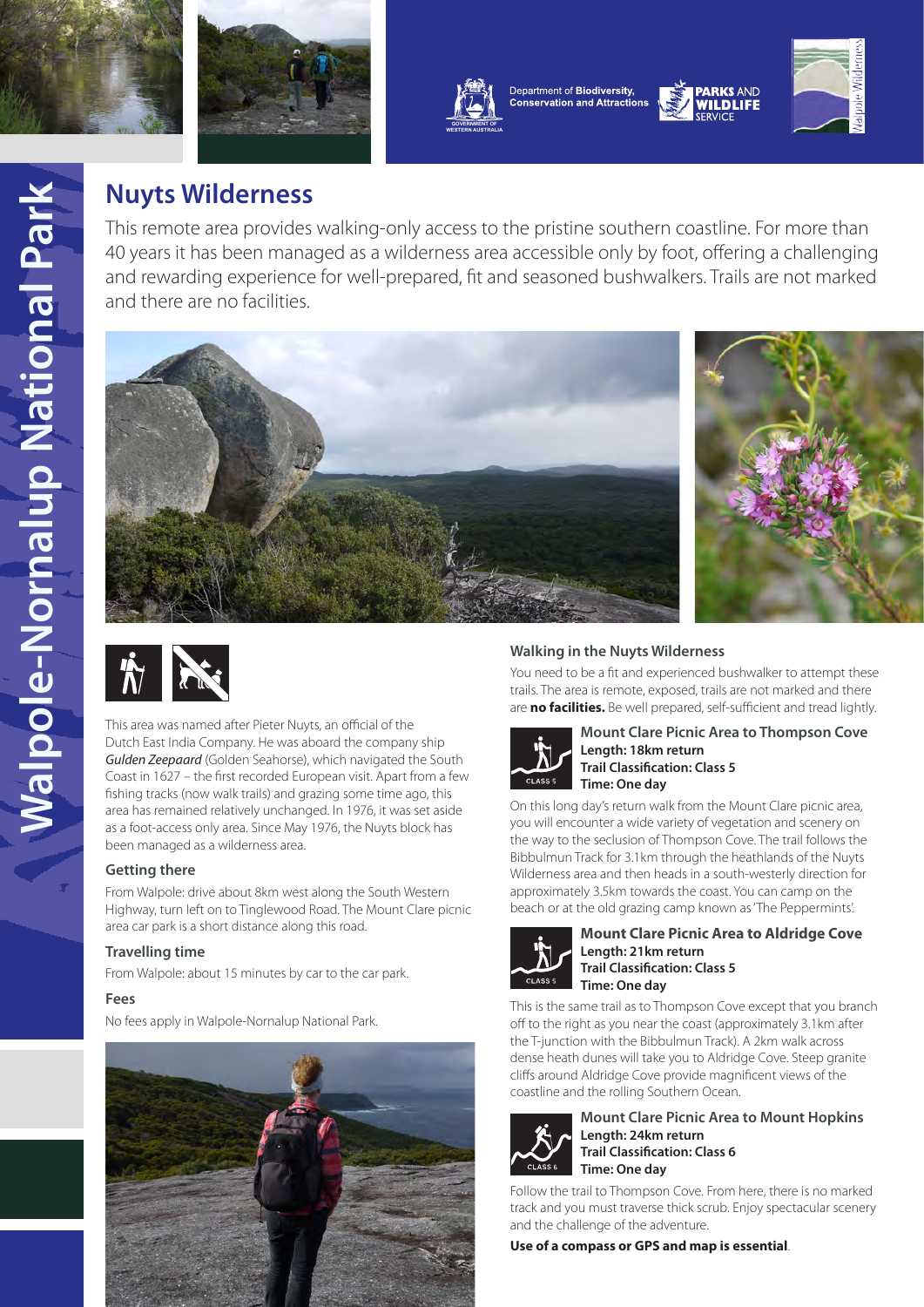

**[WESTERN AUSTRALIA](https://www.dpaw.wa.gov.au/)**



# **Nuyts Wilderness**

This remote area provides walking-only access to the pristine southern coastline. For more than 40 years it has been managed as a wilderness area accessible only by foot, offering a challenging and rewarding experience for well-prepared, fit and seasoned bushwalkers. Trails are not marked and there are no facilities.







This area was named after Pieter Nuyts, an official of the Dutch East India Company. He was aboard the company ship *Gulden Zeepaard* (Golden Seahorse), which navigated the South Coast in 1627 – the first recorded European visit. Apart from a few fishing tracks (now walk trails) and grazing some time ago, this area has remained relatively unchanged. In 1976, it was set aside as a foot-access only area. Since May 1976, the Nuyts block has been managed as a wilderness area.

# **Getting there**

From Walpole: drive about 8km west along the South Western Highway, turn left on to Tinglewood Road. The Mount Clare picnic area car park is a short distance along this road.

## **Travelling time**

From Walpole: about 15 minutes by car to the car park.

## **Fees**

No fees apply in Walpole-Nornalup National Park.



# **Walking in the Nuyts Wilderness**

You need to be a fit and experienced bushwalker to attempt these trails. The area is remote, exposed, trails are not marked and there are **no facilities.** Be well prepared, self-sufficient and tread lightly.



#### **Mount Clare Picnic Area to Thompson Cove Length: 18km return Trail Classification: Class 5 Time: One day**

On this long day's return walk from the Mount Clare picnic area, you will encounter a wide variety of vegetation and scenery on the way to the seclusion of Thompson Cove. The trail follows the Bibbulmun Track for 3.1km through the heathlands of the Nuyts Wilderness area and then heads in a south-westerly direction for approximately 3.5km towards the coast. You can camp on the beach or at the old grazing camp known as 'The Peppermints'.



#### **Mount Clare Picnic Area to Aldridge Cove Length: 21km return Trail Classification: Class 5 Time: One day**

This is the same trail as to Thompson Cove except that you branch off to the right as you near the coast (approximately 3.1km after the T-junction with the Bibbulmun Track). A 2km walk across dense heath dunes will take you to Aldridge Cove. Steep granite cliffs around Aldridge Cove provide magnificent views of the coastline and the rolling Southern Ocean.



#### **Mount Clare Picnic Area to Mount Hopkins Length: 24km return Trail Classification: Class 6 Time: One day**

Follow the trail to Thompson Cove. From here, there is no marked track and you must traverse thick scrub. Enjoy spectacular scenery and the challenge of the adventure.

**Use of a compass or GPS and map is essential**.